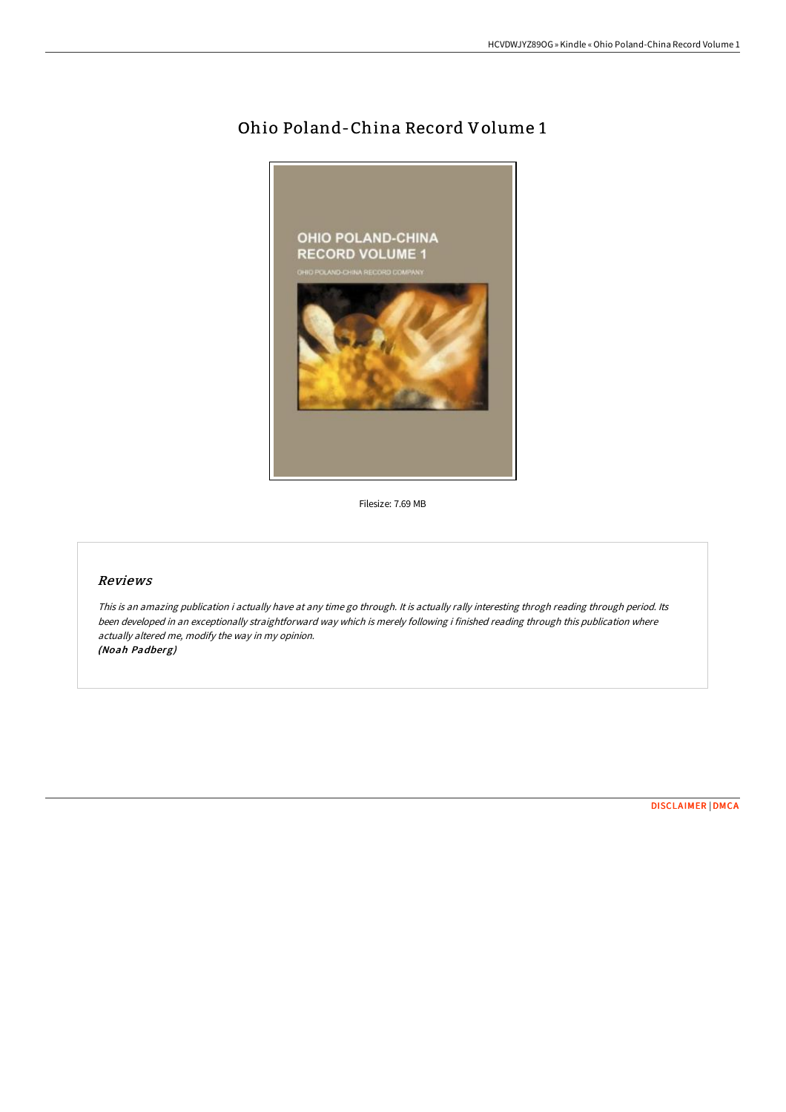# Ohio Poland-China Record Volume 1



Filesize: 7.69 MB

### Reviews

This is an amazing publication i actually have at any time go through. It is actually rally interesting throgh reading through period. Its been developed in an exceptionally straightforward way which is merely following i finished reading through this publication where actually altered me, modify the way in my opinion. (Noah Padberg)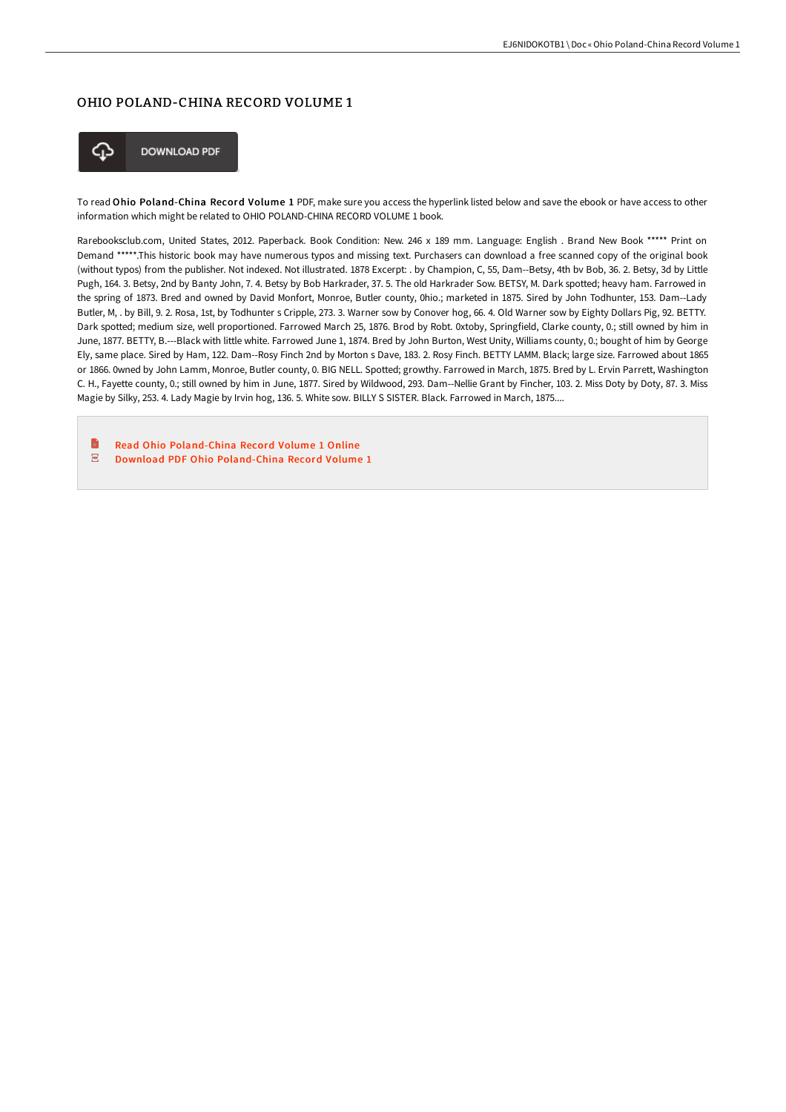## OHIO POLAND-CHINA RECORD VOLUME 1



**DOWNLOAD PDF** 

To read Ohio Poland-China Record Volume 1 PDF, make sure you access the hyperlink listed below and save the ebook or have access to other information which might be related to OHIO POLAND-CHINA RECORD VOLUME 1 book.

Rarebooksclub.com, United States, 2012. Paperback. Book Condition: New. 246 x 189 mm. Language: English . Brand New Book \*\*\*\*\* Print on Demand \*\*\*\*\*.This historic book may have numerous typos and missing text. Purchasers can download a free scanned copy of the original book (without typos) from the publisher. Not indexed. Not illustrated. 1878 Excerpt: . by Champion, C, 55, Dam--Betsy, 4th bv Bob, 36. 2. Betsy, 3d by Little Pugh, 164. 3. Betsy, 2nd by Banty John, 7. 4. Betsy by Bob Harkrader, 37. 5. The old Harkrader Sow. BETSY, M. Dark spotted; heavy ham. Farrowed in the spring of 1873. Bred and owned by David Monfort, Monroe, Butler county, 0hio.; marketed in 1875. Sired by John Todhunter, 153. Dam--Lady Butler, M, . by Bill, 9. 2. Rosa, 1st, by Todhunter s Cripple, 273. 3. Warner sow by Conover hog, 66. 4. Old Warner sow by Eighty Dollars Pig, 92. BETTY. Dark spotted; medium size, well proportioned. Farrowed March 25, 1876. Brod by Robt. 0xtoby, Springfield, Clarke county, 0.; still owned by him in June, 1877. BETTY, B.---Black with little white. Farrowed June 1, 1874. Bred by John Burton, West Unity, Williams county, 0.; bought of him by George Ely, same place. Sired by Ham, 122. Dam--Rosy Finch 2nd by Morton s Dave, 183. 2. Rosy Finch. BETTY LAMM. Black; large size. Farrowed about 1865 or 1866. 0wned by John Lamm, Monroe, Butler county, 0. BIG NELL. Spotted; growthy. Farrowed in March, 1875. Bred by L. Ervin Parrett, Washington C. H., Fayette county, 0.; still owned by him in June, 1877. Sired by Wildwood, 293. Dam--Nellie Grant by Fincher, 103. 2. Miss Doty by Doty, 87. 3. Miss Magie by Silky, 253. 4. Lady Magie by Irvin hog, 136. 5. White sow. BILLY S SISTER. Black. Farrowed in March, 1875....

**D** Read Ohio [Poland-China](http://techno-pub.tech/ohio-poland-china-record-volume-1-paperback.html) Record Volume 1 Online  $\overline{\text{PDF}}$ Download PDF Ohio [Poland-China](http://techno-pub.tech/ohio-poland-china-record-volume-1-paperback.html) Record Volume 1